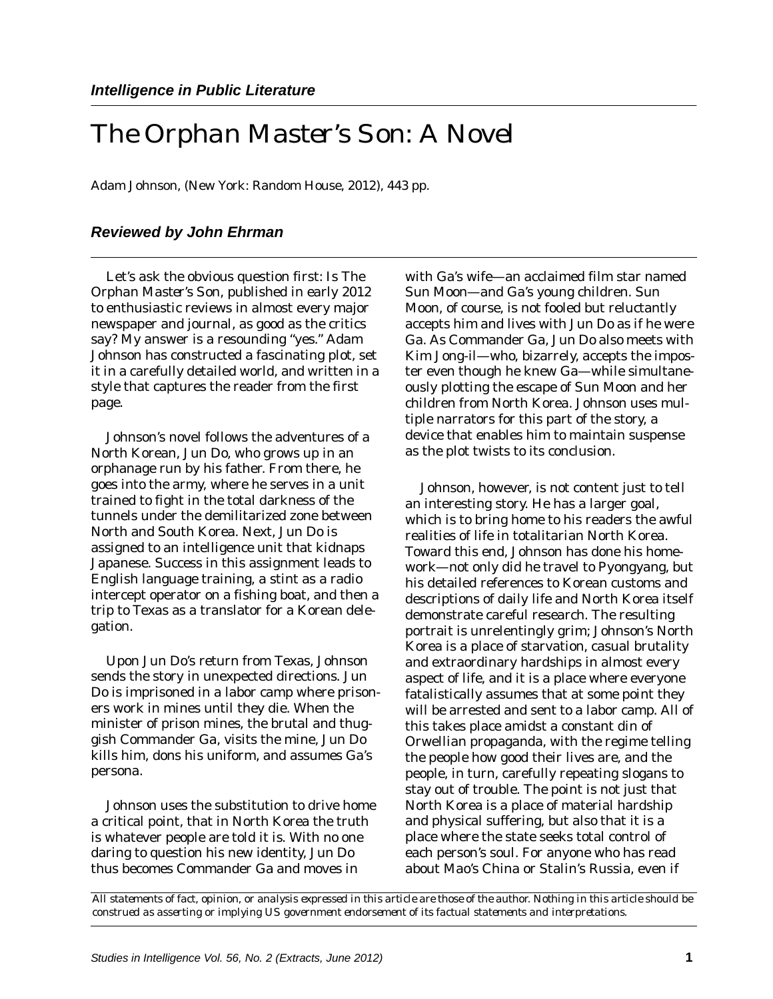## *The Orphan Master's Son: A Novel*

Adam Johnson, (New York: Random House, 2012), 443 pp.

## *Reviewed by John Ehrman*

Let's ask the obvious question first: Is *The Orphan Master's Son,* published in early 2012 to enthusiastic reviews in almost every major newspaper and journal, as good as the critics say? My answer is a resounding "yes." Adam Johnson has constructed a fascinating plot, set it in a carefully detailed world, and written in a style that captures the reader from the first page.

Johnson's novel follows the adventures of a North Korean, Jun Do, who grows up in an orphanage run by his father. From there, he goes into the army, where he serves in a unit trained to fight in the total darkness of the tunnels under the demilitarized zone between North and South Korea. Next, Jun Do is assigned to an intelligence unit that kidnaps Japanese. Success in this assignment leads to English language training, a stint as a radio intercept operator on a fishing boat, and then a trip to Texas as a translator for a Korean delegation.

Upon Jun Do's return from Texas, Johnson sends the story in unexpected directions. Jun Do is imprisoned in a labor camp where prisoners work in mines until they die. When the minister of prison mines, the brutal and thuggish Commander Ga, visits the mine, Jun Do kills him, dons his uniform, and assumes Ga's persona.

Johnson uses the substitution to drive home a critical point, that in North Korea the truth is whatever people are told it is. With no one daring to question his new identity, Jun Do thus becomes Commander Ga and moves in

with Ga's wife—an acclaimed film star named Sun Moon—and Ga's young children. Sun Moon, of course, is not fooled but reluctantly accepts him and lives with Jun Do as if he were Ga. As Commander Ga, Jun Do also meets with Kim Jong-il—who, bizarrely, accepts the imposter even though he knew Ga—while simultaneously plotting the escape of Sun Moon and her children from North Korea. Johnson uses multiple narrators for this part of the story, a device that enables him to maintain suspense as the plot twists to its conclusion.

Johnson, however, is not content just to tell an interesting story. He has a larger goal, which is to bring home to his readers the awful realities of life in totalitarian North Korea. Toward this end, Johnson has done his homework—not only did he travel to Pyongyang, but his detailed references to Korean customs and descriptions of daily life and North Korea itself demonstrate careful research. The resulting portrait is unrelentingly grim; Johnson's North Korea is a place of starvation, casual brutality and extraordinary hardships in almost every aspect of life, and it is a place where everyone fatalistically assumes that at some point they will be arrested and sent to a labor camp. All of this takes place amidst a constant din of Orwellian propaganda, with the regime telling the people how good their lives are, and the people, in turn, carefully repeating slogans to stay out of trouble. The point is not just that North Korea is a place of material hardship and physical suffering, but also that it is a place where the state seeks total control of each person's soul. For anyone who has read about Mao's China or Stalin's Russia, even if

*All statements of fact, opinion, or analysis expressed in this article are those of the author. Nothing in this article should be construed as asserting or implying US government endorsement of its factual statements and interpretations.*